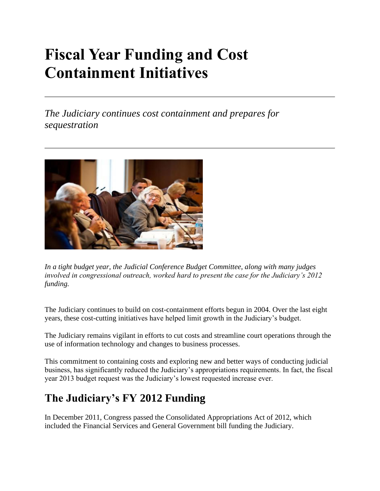## **Fiscal Year Funding and Cost Containment Initiatives**

*The Judiciary continues cost containment and prepares for sequestration*



*In a tight budget year, the Judicial Conference Budget Committee, along with many judges involved in congressional outreach, worked hard to present the case for the Judiciary's 2012 funding.*

The Judiciary continues to build on cost-containment efforts begun in 2004. Over the last eight years, these cost-cutting initiatives have helped limit growth in the Judiciary's budget.

The Judiciary remains vigilant in efforts to cut costs and streamline court operations through the use of information technology and changes to business processes.

This commitment to containing costs and exploring new and better ways of conducting judicial business, has significantly reduced the Judiciary's appropriations requirements. In fact, the fiscal year 2013 budget request was the Judiciary's lowest requested increase ever.

## **The Judiciary's FY 2012 Funding**

In December 2011, Congress passed the Consolidated Appropriations Act of 2012, which included the Financial Services and General Government bill funding the Judiciary.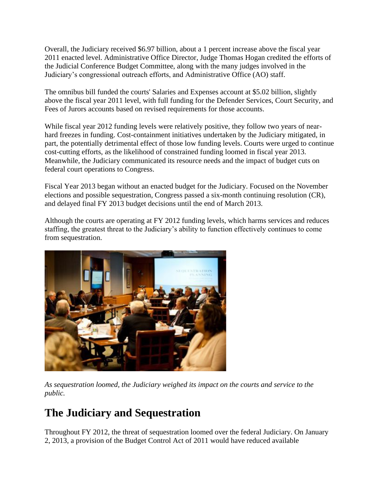Overall, the Judiciary received \$6.97 billion, about a 1 percent increase above the fiscal year 2011 enacted level. Administrative Office Director, Judge Thomas Hogan credited the efforts of the Judicial Conference Budget Committee, along with the many judges involved in the Judiciary's congressional outreach efforts, and Administrative Office (AO) staff.

The omnibus bill funded the courts' Salaries and Expenses account at \$5.02 billion, slightly above the fiscal year 2011 level, with full funding for the Defender Services, Court Security, and Fees of Jurors accounts based on revised requirements for those accounts.

While fiscal year 2012 funding levels were relatively positive, they follow two years of nearhard freezes in funding. Cost-containment initiatives undertaken by the Judiciary mitigated, in part, the potentially detrimental effect of those low funding levels. Courts were urged to continue cost-cutting efforts, as the likelihood of constrained funding loomed in fiscal year 2013. Meanwhile, the Judiciary communicated its resource needs and the impact of budget cuts on federal court operations to Congress.

Fiscal Year 2013 began without an enacted budget for the Judiciary. Focused on the November elections and possible sequestration, Congress passed a six-month continuing resolution (CR), and delayed final FY 2013 budget decisions until the end of March 2013.

Although the courts are operating at FY 2012 funding levels, which harms services and reduces staffing, the greatest threat to the Judiciary's ability to function effectively continues to come from sequestration.



*As sequestration loomed, the Judiciary weighed its impact on the courts and service to the public.* 

## **The Judiciary and Sequestration**

Throughout FY 2012, the threat of sequestration loomed over the federal Judiciary. On January 2, 2013, a provision of the Budget Control Act of 2011 would have reduced available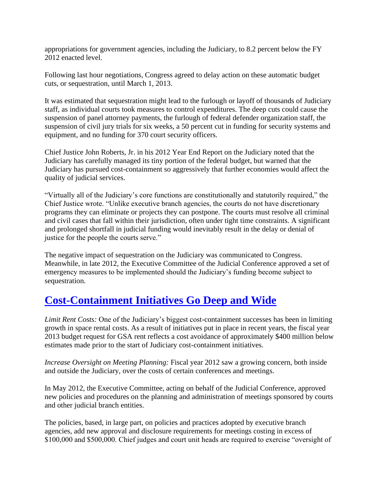appropriations for government agencies, including the Judiciary, to 8.2 percent below the FY 2012 enacted level.

Following last hour negotiations, Congress agreed to delay action on these automatic budget cuts, or sequestration, until March 1, 2013.

It was estimated that sequestration might lead to the furlough or layoff of thousands of Judiciary staff, as individual courts took measures to control expenditures. The deep cuts could cause the suspension of panel attorney payments, the furlough of federal defender organization staff, the suspension of civil jury trials for six weeks, a 50 percent cut in funding for security systems and equipment, and no funding for 370 court security officers.

Chief Justice John Roberts, Jr. in his 2012 Year End Report on the Judiciary noted that the Judiciary has carefully managed its tiny portion of the federal budget, but warned that the Judiciary has pursued cost-containment so aggressively that further economies would affect the quality of judicial services.

"Virtually all of the Judiciary's core functions are constitutionally and statutorily required," the Chief Justice wrote. "Unlike executive branch agencies, the courts do not have discretionary programs they can eliminate or projects they can postpone. The courts must resolve all criminal and civil cases that fall within their jurisdiction, often under tight time constraints. A significant and prolonged shortfall in judicial funding would inevitably result in the delay or denial of justice for the people the courts serve."

The negative impact of sequestration on the Judiciary was communicated to Congress. Meanwhile, in late 2012, the Executive Committee of the Judicial Conference approved a set of emergency measures to be implemented should the Judiciary's funding become subject to sequestration.

## **[Cost-Containment Initiatives Go Deep and Wide](https://www.uscourts.gov/news/2012/03/13/conference-continues-aggressive-cost-containment)**

*Limit Rent Costs:* One of the Judiciary's biggest cost-containment successes has been in limiting growth in space rental costs. As a result of initiatives put in place in recent years, the fiscal year 2013 budget request for GSA rent reflects a cost avoidance of approximately \$400 million below estimates made prior to the start of Judiciary cost-containment initiatives.

*Increase Oversight on Meeting Planning:* Fiscal year 2012 saw a growing concern, both inside and outside the Judiciary, over the costs of certain conferences and meetings.

In May 2012, the Executive Committee, acting on behalf of the Judicial Conference, approved new policies and procedures on the planning and administration of meetings sponsored by courts and other judicial branch entities.

The policies, based, in large part, on policies and practices adopted by executive branch agencies, add new approval and disclosure requirements for meetings costing in excess of \$100,000 and \$500,000. Chief judges and court unit heads are required to exercise "oversight of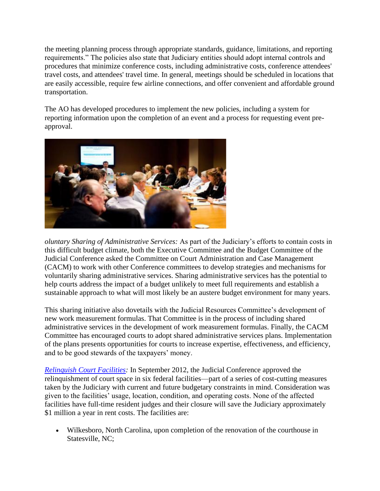the meeting planning process through appropriate standards, guidance, limitations, and reporting requirements." The policies also state that Judiciary entities should adopt internal controls and procedures that minimize conference costs, including administrative costs, conference attendees' travel costs, and attendees' travel time. In general, meetings should be scheduled in locations that are easily accessible, require few airline connections, and offer convenient and affordable ground transportation.

The AO has developed procedures to implement the new policies, including a system for reporting information upon the completion of an event and a process for requesting event preapproval.



*oluntary Sharing of Administrative Services:* As part of the Judiciary's efforts to contain costs in this difficult budget climate, both the Executive Committee and the Budget Committee of the Judicial Conference asked the Committee on Court Administration and Case Management (CACM) to work with other Conference committees to develop strategies and mechanisms for voluntarily sharing administrative services. Sharing administrative services has the potential to help courts address the impact of a budget unlikely to meet full requirements and establish a sustainable approach to what will most likely be an austere budget environment for many years.

This sharing initiative also dovetails with the Judicial Resources Committee's development of new work measurement formulas. That Committee is in the process of including shared administrative services in the development of work measurement formulas. Finally, the CACM Committee has encouraged courts to adopt shared administrative services plans. Implementation of the plans presents opportunities for courts to increase expertise, effectiveness, and efficiency, and to be good stewards of the taxpayers' money.

*[Relinquish Court Facilities:](https://www.uscourts.gov/news/2012/09/11/judiciary-continues-cost-savings-closes-court-facilities)* In September 2012, the Judicial Conference approved the relinquishment of court space in six federal facilities—part of a series of cost-cutting measures taken by the Judiciary with current and future budgetary constraints in mind. Consideration was given to the facilities' usage, location, condition, and operating costs. None of the affected facilities have full-time resident judges and their closure will save the Judiciary approximately \$1 million a year in rent costs. The facilities are:

• Wilkesboro, North Carolina, upon completion of the renovation of the courthouse in Statesville, NC;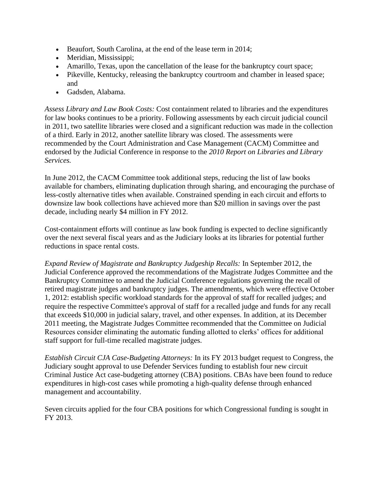- Beaufort, South Carolina, at the end of the lease term in 2014;
- Meridian, Mississippi;
- Amarillo, Texas, upon the cancellation of the lease for the bankruptcy court space;
- Pikeville, Kentucky, releasing the bankruptcy courtroom and chamber in leased space; and
- Gadsden, Alabama.

*Assess Library and Law Book Costs:* Cost containment related to libraries and the expenditures for law books continues to be a priority. Following assessments by each circuit judicial council in 2011, two satellite libraries were closed and a significant reduction was made in the collection of a third. Early in 2012, another satellite library was closed. The assessments were recommended by the Court Administration and Case Management (CACM) Committee and endorsed by the Judicial Conference in response to the *2010 Report on Libraries and Library Services.*

In June 2012, the CACM Committee took additional steps, reducing the list of law books available for chambers, eliminating duplication through sharing, and encouraging the purchase of less-costly alternative titles when available. Constrained spending in each circuit and efforts to downsize law book collections have achieved more than \$20 million in savings over the past decade, including nearly \$4 million in FY 2012.

Cost-containment efforts will continue as law book funding is expected to decline significantly over the next several fiscal years and as the Judiciary looks at its libraries for potential further reductions in space rental costs.

*Expand Review of Magistrate and Bankruptcy Judgeship Recalls:* In September 2012, the Judicial Conference approved the recommendations of the Magistrate Judges Committee and the Bankruptcy Committee to amend the Judicial Conference regulations governing the recall of retired magistrate judges and bankruptcy judges. The amendments, which were effective October 1, 2012: establish specific workload standards for the approval of staff for recalled judges; and require the respective Committee's approval of staff for a recalled judge and funds for any recall that exceeds \$10,000 in judicial salary, travel, and other expenses. In addition, at its December 2011 meeting, the Magistrate Judges Committee recommended that the Committee on Judicial Resources consider eliminating the automatic funding allotted to clerks' offices for additional staff support for full-time recalled magistrate judges.

*Establish Circuit CJA Case-Budgeting Attorneys:* In its FY 2013 budget request to Congress, the Judiciary sought approval to use Defender Services funding to establish four new circuit Criminal Justice Act case-budgeting attorney (CBA) positions. CBAs have been found to reduce expenditures in high-cost cases while promoting a high-quality defense through enhanced management and accountability.

Seven circuits applied for the four CBA positions for which Congressional funding is sought in FY 2013.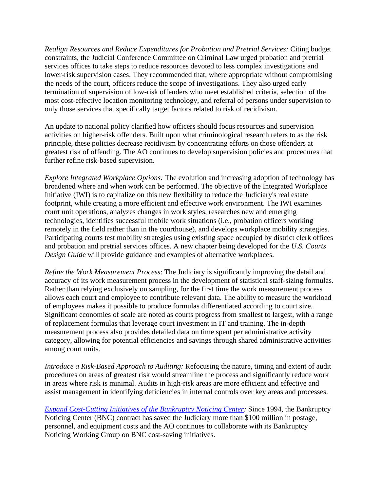*Realign Resources and Reduce Expenditures for Probation and Pretrial Services:* Citing budget constraints, the Judicial Conference Committee on Criminal Law urged probation and pretrial services offices to take steps to reduce resources devoted to less complex investigations and lower-risk supervision cases. They recommended that, where appropriate without compromising the needs of the court, officers reduce the scope of investigations. They also urged early termination of supervision of low-risk offenders who meet established criteria, selection of the most cost-effective location monitoring technology, and referral of persons under supervision to only those services that specifically target factors related to risk of recidivism.

An update to national policy clarified how officers should focus resources and supervision activities on higher-risk offenders. Built upon what criminological research refers to as the risk principle, these policies decrease recidivism by concentrating efforts on those offenders at greatest risk of offending. The AO continues to develop supervision policies and procedures that further refine risk-based supervision.

*Explore Integrated Workplace Options:* The evolution and increasing adoption of technology has broadened where and when work can be performed. The objective of the Integrated Workplace Initiative (IWI) is to capitalize on this new flexibility to reduce the Judiciary's real estate footprint, while creating a more efficient and effective work environment. The IWI examines court unit operations, analyzes changes in work styles, researches new and emerging technologies, identifies successful mobile work situations (i.e., probation officers working remotely in the field rather than in the courthouse), and develops workplace mobility strategies. Participating courts test mobility strategies using existing space occupied by district clerk offices and probation and pretrial services offices. A new chapter being developed for the *U.S. Courts Design Guide* will provide guidance and examples of alternative workplaces.

*Refine the Work Measurement Process*: The Judiciary is significantly improving the detail and accuracy of its work measurement process in the development of statistical staff-sizing formulas. Rather than relying exclusively on sampling, for the first time the work measurement process allows each court and employee to contribute relevant data. The ability to measure the workload of employees makes it possible to produce formulas differentiated according to court size. Significant economies of scale are noted as courts progress from smallest to largest, with a range of replacement formulas that leverage court investment in IT and training. The in-depth measurement process also provides detailed data on time spent per administrative activity category, allowing for potential efficiencies and savings through shared administrative activities among court units.

*Introduce a Risk-Based Approach to Auditing:* Refocusing the nature, timing and extent of audit procedures on areas of greatest risk would streamline the process and significantly reduce work in areas where risk is minimal. Audits in high-risk areas are more efficient and effective and assist management in identifying deficiencies in internal controls over key areas and processes.

*[Expand Cost-Cutting Initiatives of the Bankruptcy Noticing Center:](https://www.uscourts.gov/news/2012/07/23/return-sender-centralized-processing-save-million)* Since 1994, the Bankruptcy Noticing Center (BNC) contract has saved the Judiciary more than \$100 million in postage, personnel, and equipment costs and the AO continues to collaborate with its Bankruptcy Noticing Working Group on BNC cost-saving initiatives.